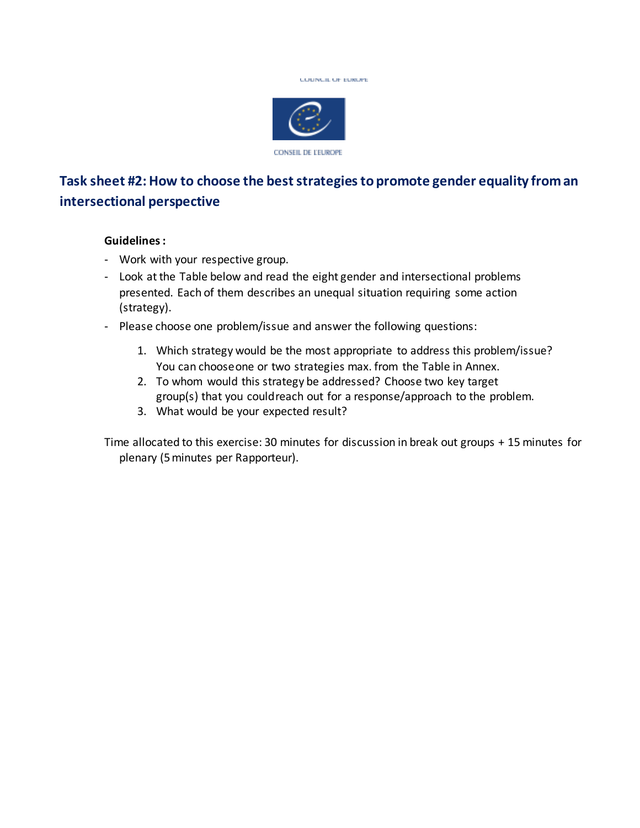



## **Task sheet #2: How to choose the best strategies to promote gender equality from an intersectional perspective**

## **Guidelines:**

- Work with your respective group.
- Look at the Table below and read the eight gender and intersectional problems presented. Each of them describes an unequal situation requiring some action (strategy).
- Please choose one problem/issue and answer the following questions:
	- 1. Which strategy would be the most appropriate to address this problem/issue? You can chooseone or two strategies max. from the Table in Annex.
	- 2. To whom would this strategy be addressed? Choose two key target group(s) that you couldreach out for a response/approach to the problem.
	- 3. What would be your expected result?

Time allocated to this exercise: 30 minutes for discussion in break out groups + 15 minutes for plenary (5minutes per Rapporteur).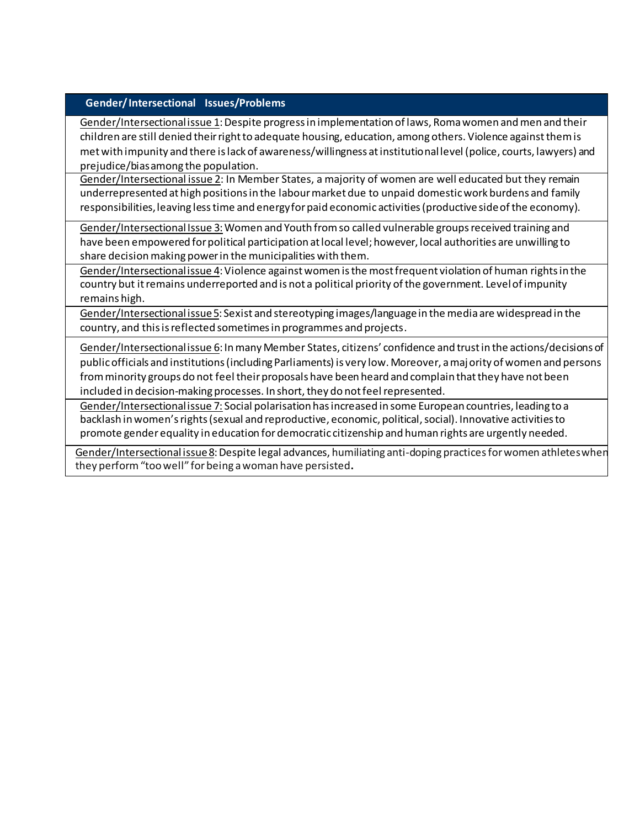## **Gender/ Intersectional Issues/Problems**

Gender/Intersectional issue 1: Despite progress in implementation of laws, Roma women and men and their children are still denied theirrightto adequate housing, education, among others. Violence againstthem is met with impunity and there is lack of awareness/willingness at institutional level (police, courts, lawyers) and prejudice/biasamong the population.

Gender/Intersectional issue 2: In Member States, a majority of women are well educated but they remain underrepresented at high positions in the labour market due to unpaid domestic work burdens and family responsibilities, leaving less time and energy for paid economic activities (productive side of the economy).

Gender/Intersectional Issue 3: Women and Youth from so called vulnerable groups received training and have been empowered for political participation at local level; however, local authorities are unwilling to share decision making power in the municipalities with them.

Gender/Intersectional issue 4: Violence against women is the most frequent violation of human rights in the country but it remains underreported and is not a political priority ofthe government. Levelof impunity remains high.

Gender/Intersectional issue 5: Sexist and stereotyping images/language in the media are widespread in the country, and this is reflected sometimes in programmes and projects.

Gender/Intersectional issue 6: In many Member States, citizens' confidence and trust in the actions/decisions of public officials and institutions (including Parliaments) is very low. Moreover, a majority of women and persons from minority groups do not feel their proposals have been heard and complain that they have not been included in decision-making processes. In short, they do not feel represented.

Gender/Intersectional issue 7: Social polarisation has increased in some European countries, leading to a backlash in women's rights (sexual and reproductive, economic, political, social). Innovative activities to promote gender equality in education fordemocratic citizenship and human rights are urgently needed.

Gender/Intersectional issue 8: Despite legal advances, humiliating anti-doping practices for women athletes when they perform"too well" forbeing awoman have persisted**.**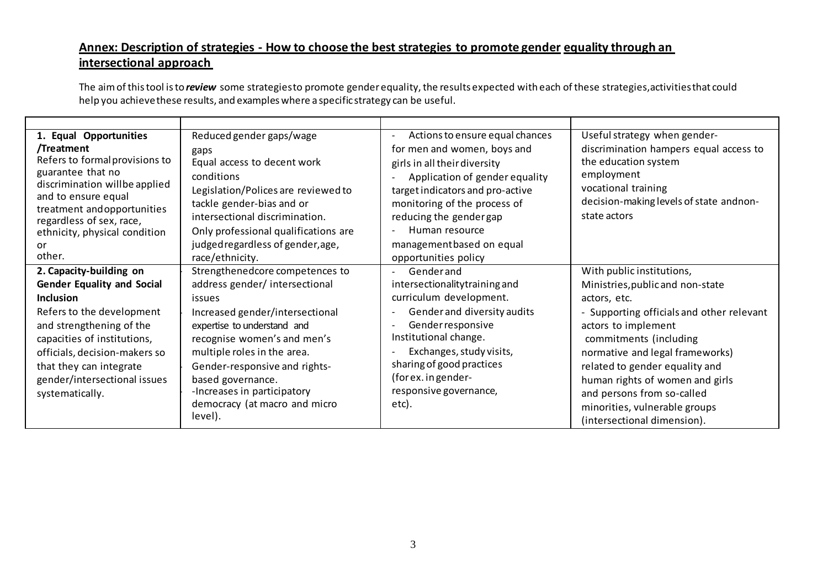## **Annex: Description of strategies - How to choose the best strategies to promote gender equality through an intersectional approach**

The aim of thistool is to *review* some strategiesto promote gender equality, the results expected with each of these strategies, activities that could help you achievethese results, and examples where aspecific strategy can be useful.

| 1. Equal Opportunities                                    | Reduced gender gaps/wage             | Actions to ensure equal chances                         | Useful strategy when gender-              |
|-----------------------------------------------------------|--------------------------------------|---------------------------------------------------------|-------------------------------------------|
| /Treatment                                                | gaps                                 | for men and women, boys and                             | discrimination hampers equal access to    |
| Refers to formal provisions to                            | Equal access to decent work          | girls in all their diversity                            | the education system                      |
| guarantee that no                                         | conditions                           | Application of gender equality                          | employment                                |
| discrimination willbe applied                             | Legislation/Polices are reviewed to  | target indicators and pro-active                        | vocational training                       |
| and to ensure equal                                       | tackle gender-bias and or            | monitoring of the process of                            | decision-making levels of state andnon-   |
| treatment and opportunities                               | intersectional discrimination.       | reducing the gender gap                                 | state actors                              |
| regardless of sex, race,<br>ethnicity, physical condition | Only professional qualifications are | Human resource                                          |                                           |
| or                                                        | judged regardless of gender, age,    | managementbased on equal                                |                                           |
| other.                                                    | race/ethnicity.                      | opportunities policy                                    |                                           |
| 2. Capacity-building on                                   | Strengthenedcore competences to      | Genderand                                               | With public institutions,                 |
| <b>Gender Equality and Social</b>                         | address gender/ intersectional       | intersectionality training and                          | Ministries, public and non-state          |
| <b>Inclusion</b>                                          | issues                               | curriculum development.                                 | actors, etc.                              |
| Refers to the development                                 | Increased gender/intersectional      | Gender and diversity audits<br>$\overline{\phantom{a}}$ | - Supporting officials and other relevant |
| and strengthening of the                                  | expertise to understand and          | Gender responsive<br>$\overline{\phantom{a}}$           | actors to implement                       |
| capacities of institutions,                               | recognise women's and men's          | Institutional change.                                   | commitments (including                    |
| officials, decision-makers so                             | multiple roles in the area.          | Exchanges, study visits,                                | normative and legal frameworks)           |
| that they can integrate                                   | Gender-responsive and rights-        | sharing of good practices                               | related to gender equality and            |
| gender/intersectional issues                              | based governance.                    | (for ex. in gender-                                     | human rights of women and girls           |
| systematically.                                           | -Increases in participatory          | responsive governance,                                  | and persons from so-called                |
|                                                           | democracy (at macro and micro        | etc).                                                   | minorities, vulnerable groups             |
|                                                           | level).                              |                                                         |                                           |
|                                                           |                                      |                                                         | (intersectional dimension).               |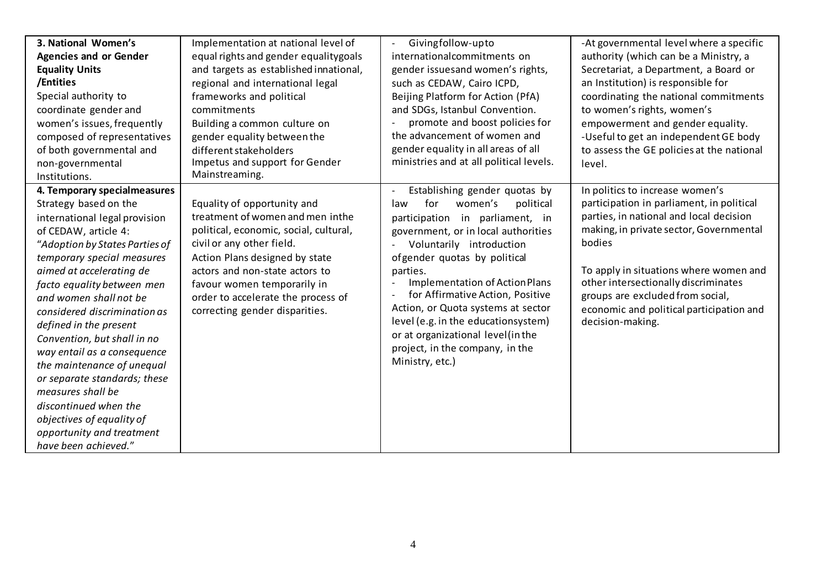| 3. National Women's            | Implementation at national level of    | Givingfollow-upto<br>$\blacksquare$     | -At governmental level where a specific   |
|--------------------------------|----------------------------------------|-----------------------------------------|-------------------------------------------|
| <b>Agencies and or Gender</b>  | equal rights and gender equality goals | internationalcommitments on             | authority (which can be a Ministry, a     |
| <b>Equality Units</b>          | and targets as established innational, | gender issuesand women's rights,        | Secretariat, a Department, a Board or     |
| /Entities                      | regional and international legal       | such as CEDAW, Cairo ICPD,              | an Institution) is responsible for        |
| Special authority to           | frameworks and political               | Beijing Platform for Action (PfA)       | coordinating the national commitments     |
| coordinate gender and          | commitments                            | and SDGs, Istanbul Convention.          | to women's rights, women's                |
| women's issues, frequently     | Building a common culture on           | promote and boost policies for          | empowerment and gender equality.          |
| composed of representatives    | gender equality between the            | the advancement of women and            | -Useful to get an independent GE body     |
| of both governmental and       | different stakeholders                 | gender equality in all areas of all     | to assess the GE policies at the national |
| non-governmental               | Impetus and support for Gender         | ministries and at all political levels. | level.                                    |
| Institutions.                  | Mainstreaming.                         |                                         |                                           |
| 4. Temporary specialmeasures   |                                        | Establishing gender quotas by           | In politics to increase women's           |
| Strategy based on the          | Equality of opportunity and            | for<br>women's<br>political<br>law      | participation in parliament, in political |
| international legal provision  | treatment of women and men inthe       | participation in parliament, in         | parties, in national and local decision   |
| of CEDAW, article 4:           | political, economic, social, cultural, | government, or in local authorities     | making, in private sector, Governmental   |
| "Adoption by States Parties of | civil or any other field.              | Voluntarily introduction                | bodies                                    |
| temporary special measures     | Action Plans designed by state         | ofgender quotas by political            |                                           |
| aimed at accelerating de       | actors and non-state actors to         | parties.                                | To apply in situations where women and    |
| facto equality between men     | favour women temporarily in            | <b>Implementation of Action Plans</b>   | other intersectionally discriminates      |
| and women shall not be         | order to accelerate the process of     | for Affirmative Action, Positive        | groups are excluded from social,          |
| considered discrimination as   | correcting gender disparities.         | Action, or Quota systems at sector      | economic and political participation and  |
| defined in the present         |                                        | level (e.g. in the educationsystem)     | decision-making.                          |
| Convention, but shall in no    |                                        | or at organizational level(in the       |                                           |
| way entail as a consequence    |                                        | project, in the company, in the         |                                           |
| the maintenance of unequal     |                                        | Ministry, etc.)                         |                                           |
| or separate standards; these   |                                        |                                         |                                           |
| measures shall be              |                                        |                                         |                                           |
| discontinued when the          |                                        |                                         |                                           |
| objectives of equality of      |                                        |                                         |                                           |
| opportunity and treatment      |                                        |                                         |                                           |
| have been achieved."           |                                        |                                         |                                           |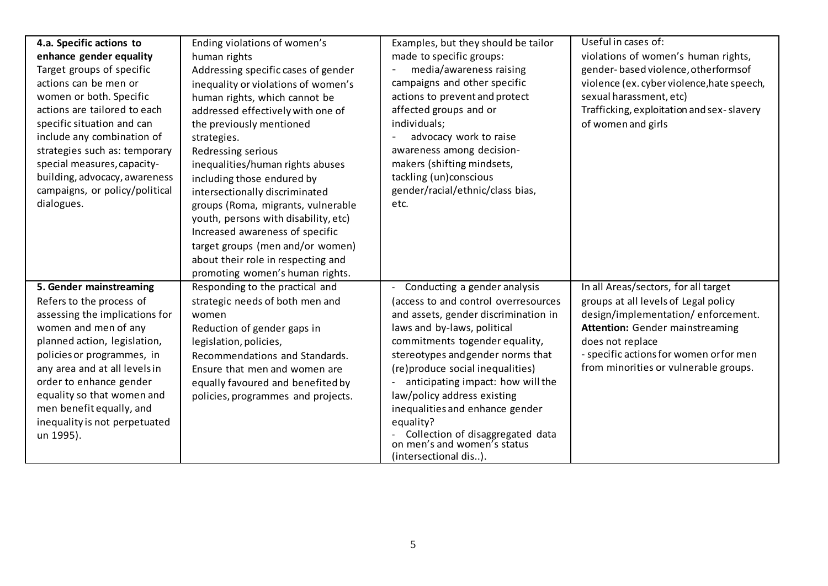| 4.a. Specific actions to       | Ending violations of women's         | Examples, but they should be tailor                             | Useful in cases of:                        |
|--------------------------------|--------------------------------------|-----------------------------------------------------------------|--------------------------------------------|
| enhance gender equality        | human rights                         | made to specific groups:                                        | violations of women's human rights,        |
| Target groups of specific      | Addressing specific cases of gender  | media/awareness raising                                         | gender-based violence, otherforms of       |
| actions can be men or          | inequality or violations of women's  | campaigns and other specific                                    | violence (ex. cyber violence, hate speech, |
| women or both. Specific        | human rights, which cannot be        | actions to prevent and protect                                  | sexual harassment, etc)                    |
| actions are tailored to each   | addressed effectively with one of    | affected groups and or                                          | Trafficking, exploitation and sex-slavery  |
| specific situation and can     | the previously mentioned             | individuals;                                                    | of women and girls                         |
| include any combination of     | strategies.                          | advocacy work to raise                                          |                                            |
| strategies such as: temporary  | Redressing serious                   | awareness among decision-                                       |                                            |
| special measures, capacity-    | inequalities/human rights abuses     | makers (shifting mindsets,                                      |                                            |
| building, advocacy, awareness  | including those endured by           | tackling (un)conscious                                          |                                            |
| campaigns, or policy/political | intersectionally discriminated       | gender/racial/ethnic/class bias,                                |                                            |
| dialogues.                     | groups (Roma, migrants, vulnerable   | etc.                                                            |                                            |
|                                | youth, persons with disability, etc) |                                                                 |                                            |
|                                | Increased awareness of specific      |                                                                 |                                            |
|                                |                                      |                                                                 |                                            |
|                                | target groups (men and/or women)     |                                                                 |                                            |
|                                | about their role in respecting and   |                                                                 |                                            |
|                                | promoting women's human rights.      |                                                                 |                                            |
| 5. Gender mainstreaming        | Responding to the practical and      | Conducting a gender analysis<br>$\blacksquare$                  | In all Areas/sectors, for all target       |
| Refers to the process of       | strategic needs of both men and      | (access to and control overresources                            | groups at all levels of Legal policy       |
| assessing the implications for | women                                | and assets, gender discrimination in                            | design/implementation/enforcement.         |
| women and men of any           | Reduction of gender gaps in          | laws and by-laws, political                                     | <b>Attention:</b> Gender mainstreaming     |
| planned action, legislation,   | legislation, policies,               | commitments togender equality,                                  | does not replace                           |
| policies or programmes, in     | Recommendations and Standards.       | stereotypes and gender norms that                               | - specific actions for women orfor men     |
| any area and at all levels in  | Ensure that men and women are        | (re) produce social inequalities)                               | from minorities or vulnerable groups.      |
| order to enhance gender        | equally favoured and benefited by    | anticipating impact: how will the                               |                                            |
| equality so that women and     | policies, programmes and projects.   | law/policy address existing                                     |                                            |
| men benefit equally, and       |                                      | inequalities and enhance gender                                 |                                            |
| inequality is not perpetuated  |                                      | equality?                                                       |                                            |
| un 1995).                      |                                      | Collection of disaggregated data<br>on men's and women's status |                                            |
|                                |                                      | (intersectional dis).                                           |                                            |